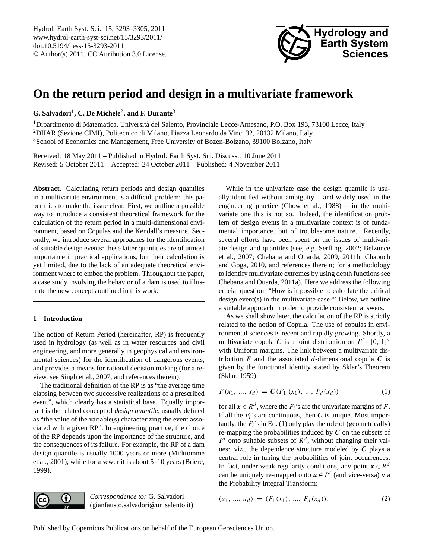<span id="page-0-1"></span>Hydrol. Earth Syst. Sci., 15, 3293–3305, 2011 www.hydrol-earth-syst-sci.net/15/3293/2011/ doi:10.5194/hess-15-3293-2011 © Author(s) 2011. CC Attribution 3.0 License.



# **On the return period and design in a multivariate framework**

**G. Salvadori**<sup>1</sup> **, C. De Michele**<sup>2</sup> **, and F. Durante**<sup>3</sup>

<sup>1</sup>Dipartimento di Matematica, Universita del Salento, Provinciale Lecce-Arnesano, P.O. Box 193, 73100 Lecce, Italy ` <sup>2</sup>DIIAR (Sezione CIMI), Politecnico di Milano, Piazza Leonardo da Vinci 32, 20132 Milano, Italy <sup>3</sup>School of Economics and Management, Free University of Bozen-Bolzano, 39100 Bolzano, Italy

Received: 18 May 2011 – Published in Hydrol. Earth Syst. Sci. Discuss.: 10 June 2011 Revised: 5 October 2011 – Accepted: 24 October 2011 – Published: 4 November 2011

**Abstract.** Calculating return periods and design quantiles in a multivariate environment is a difficult problem: this paper tries to make the issue clear. First, we outline a possible way to introduce a consistent theoretical framework for the calculation of the return period in a multi-dimensional environment, based on Copulas and the Kendall's measure. Secondly, we introduce several approaches for the identification of suitable design events: these latter quantities are of utmost importance in practical applications, but their calculation is yet limited, due to the lack of an adequate theoretical environment where to embed the problem. Throughout the paper, a case study involving the behavior of a dam is used to illustrate the new concepts outlined in this work.

## **1 Introduction**

The notion of Return Period (hereinafter, RP) is frequently used in hydrology (as well as in water resources and civil engineering, and more generally in geophysical and environmental sciences) for the identification of dangerous events, and provides a means for rational decision making (for a review, see [Singh et al.,](#page-12-0) [2007,](#page-12-0) and references therein).

The traditional definition of the RP is as "the average time elapsing between two successive realizations of a prescribed event", which clearly has a statistical base. Equally important is the related concept of *design quantile*, usually defined as "the value of the variable(s) characterizing the event associated with a given RP". In engineering practice, the choice of the RP depends upon the importance of the structure, and the consequences of its failure. For example, the RP of a dam design quantile is usually 1000 years or more [\(Midttomme](#page-12-1) [et al.,](#page-12-1) [2001\)](#page-12-1), while for a sewer it is about 5–10 years [\(Briere,](#page-11-0) [1999\)](#page-11-0).

0

*Correspondence to:* G. Salvadori (gianfausto.salvadori@unisalento.it)

While in the univariate case the design quantile is usually identified without ambiguity – and widely used in the engineering practice [\(Chow et al.,](#page-11-1) [1988\)](#page-11-1) – in the multivariate one this is not so. Indeed, the identification problem of design events in a multivariate context is of fundamental importance, but of troublesome nature. Recently, several efforts have been spent on the issues of multivariate design and quantiles (see, e.g. [Serfling,](#page-12-2) [2002;](#page-12-2) [Belzunce](#page-11-2) [et al.,](#page-11-2) [2007;](#page-11-2) [Chebana and Ouarda,](#page-11-3) [2009,](#page-11-3) [2011b;](#page-11-4) [Chaouch](#page-11-5) [and Goga,](#page-11-5) [2010,](#page-11-5) and references therein; for a methodology to identify multivariate extremes by using depth functions see [Chebana and Ouarda,](#page-11-6) [2011a\)](#page-11-6). Here we address the following crucial question: "How is it possible to calculate the critical design event(s) in the multivariate case?" Below, we outline a suitable approach in order to provide consistent answers.

As we shall show later, the calculation of the RP is strictly related to the notion of Copula. The use of copulas in environmental sciences is recent and rapidly growing. Shortly, a multivariate copula C is a joint distribution on  $I^d = [0, 1]^d$ with Uniform margins. The link between a multivariate distribution  $F$  and the associated d-dimensional copula  $C$  is given by the functional identity stated by Sklar's Theorem [\(Sklar,](#page-12-3) [1959\)](#page-12-3):

<span id="page-0-0"></span>
$$
F(x_1, ..., x_d) = \mathbf{C}(F_1(x_1), ..., F_d(x_d))
$$
 (1)

for all  $x \in R^d$ , where the  $F_i$ 's are the univariate margins of F. If all the  $F_i$ 's are continuous, then C is unique. Most importantly, the  $F_i$ 's in Eq. [\(1\)](#page-0-0) only play the role of (geometrically) re-mapping the probabilities induced by  $C$  on the subsets of  $I^d$  onto suitable subsets of  $R^d$ , without changing their values: viz., the dependence structure modeled by  $C$  plays a central role in tuning the probabilities of joint occurrences. In fact, under weak regularity conditions, any point  $x \in R^d$ can be uniquely re-mapped onto  $u \in I^d$  (and vice-versa) via the Probability Integral Transform:

<span id="page-0-2"></span>
$$
(u_1, ..., u_d) = (F_1(x_1), ..., F_d(x_d)).
$$
\n(2)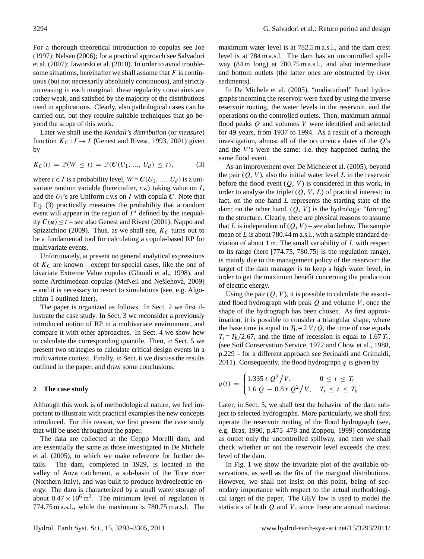For a thorough theoretical introduction to copulas see [Joe](#page-12-4) [\(1997\)](#page-12-4); [Nelsen](#page-12-5) [\(2006\)](#page-12-5); for a practical approach see [Salvadori](#page-12-6) [et al.](#page-12-6) [\(2007\)](#page-12-6); [Jaworski et al.](#page-12-7) [\(2010\)](#page-12-7). In order to avoid troublesome situations, hereinafter we shall assume that  $F$  is continuous (but not necessarily absolutely continuous), and strictly increasing in each marginal: these regularity constraints are rather weak, and satisfied by the majority of the distributions used in applications. Clearly, also pathological cases can be carried out, but they require suitable techniques that go beyond the scope of this work.

<span id="page-1-0"></span>Later we shall use the *Kendall's distribution* (or *measure*) function  $K_C : I \rightarrow I$  [\(Genest and Rivest,](#page-11-7) [1993,](#page-11-7) [2001\)](#page-11-8) given by

$$
K_C(t) = \mathbb{P}(W \le t) = \mathbb{P}(C(U_1, ..., U_d) \le t), \tag{3}
$$

where  $t \in I$  is a probability level,  $W = C(U_1, ..., U_d)$  is a univariate random variable (hereinafter,  $r.v.$ ) taking value on  $I$ , and the  $U_i$ 's are Uniform r.v.s on I with copula C. Note that Eq. [\(3\)](#page-1-0) practically measures the probability that a random event will appear in the region of  $I^d$  defined by the inequality  $C(u) \le t$  – see also [Genest and Rivest](#page-11-8) [\(2001\)](#page-11-8); [Nappo and](#page-12-8) [Spizzichino](#page-12-8) [\(2009\)](#page-12-8). Thus, as we shall see,  $K_C$  turns out to be a fundamental tool for calculating a copula-based RP for multivariate events.

Unfortunately, at present no general analytical expressions of  $K_C$  are known – except for special cases, like the one of bivariate Extreme Value copulas [\(Ghoudi et al.,](#page-12-9) [1998\)](#page-12-9), and some Archimedean copulas (McNeil and Nešlehová, [2009\)](#page-12-10) – and it is necessary to resort to simulations (see, e.g. Algorithm [1](#page-5-0) outlined later).

The paper is organized as follows. In Sect. [2](#page-1-1) we first illustrate the case study. In Sect. [3](#page-3-0) we reconsider a previously introduced notion of RP in a multivariate environment, and compare it with other approaches. In Sect. [4](#page-6-0) we show how to calculate the corresponding quantile. Then, in Sect. [5](#page-7-0) we present two strategies to calculate critical design events in a multivariate context. Finally, in Sect. [6](#page-11-9) we discuss the results outlined in the paper, and draw some conclusions.

## <span id="page-1-1"></span>**2 The case study**

Although this work is of methodological nature, we feel important to illustrate with practical examples the new concepts introduced. For this reason, we first present the case study that will be used throughout the paper.

The data are collected at the Ceppo Morelli dam, and are essentially the same as those investigated in [De Michele](#page-11-10) [et al.](#page-11-10) [\(2005\)](#page-11-10), to which we make reference for further details. The dam, completed in 1929, is located in the valley of Anza catchment, a sub-basin of the Toce river (Northern Italy), and was built to produce hydroelectric energy. The dam is characterized by a small water storage of about  $0.47 \times 10^6$  m<sup>3</sup>. The minimum level of regulation is 774.75 m a.s.l., while the maximum is 780.75 m a.s.l. The maximum water level is at 782.5 m a.s.l., and the dam crest level is at 784 m a.s.l. The dam has an uncontrolled spillway (84 m long) at 780.75 m a.s.l., and also intermediate and bottom outlets (the latter ones are obstructed by river sediments).

In [De Michele et al.](#page-11-10) [\(2005\)](#page-11-10), "undisturbed" flood hydrographs incoming the reservoir were fixed by using the inverse reservoir routing, the water levels in the reservoir, and the operations on the controlled outlets. Then, maximum annual flood peaks  $Q$  and volumes  $V$  were identified and selected for 49 years, from 1937 to 1994. As a result of a thorough investigation, almost all of the occurrence dates of the  $Q$ 's and the  $V$ 's were the same: i.e. they happened during the same flood event.

As an improvement over [De Michele et al.](#page-11-10) [\(2005\)](#page-11-10), beyond the pair  $(Q, V)$ , also the initial water level L in the reservoir before the flood event  $(Q, V)$  is considered in this work, in order to analyse the triplet  $(Q, V, L)$  of practical interest: in fact, on the one hand L represents the starting state of the dam; on the other hand,  $(Q, V)$  is the hydrologic "forcing" to the structure. Clearly, there are physical reasons to assume that L is independent of  $(Q, V)$  – see also below. The sample mean of L is about 780.44 m a.s.l., with a sample standard deviation of about 1 m. The small variability of L with respect to its range (here [774.75, 780.75] is the regulation range), is mainly due to the management policy of the reservoir: the target of the dam manager is to keep a high water level, in order to get the maximum benefit concerning the production of electric energy.

Using the pair  $(Q, V)$ , it is possible to calculate the associ-ated flood hydrograph with peak  $Q$  and volume  $V$ , once the shape of the hydrograph has been chosen. As first approximation, it is possible to consider a triangular shape, where the base time is equal to  $T_b = 2 V/Q$ , the time of rise equals  $T_r = T_b/2.67$ , and the time of recession is equal to 1.67  $T_r$ , (see [Soil Conservation Service,](#page-12-11) [1972](#page-12-11) and [Chow et al.,](#page-11-1) [1988,](#page-11-1) p.229 – for a different approach see [Serinaldi and Grimaldi,](#page-12-12) [2011\)](#page-12-12). Consequently, the flood hydrograph  $q$  is given by

$$
q(t) = \begin{cases} 1.335 \ t \ Q^2/V, & 0 \le t \le T_{\rm r} \\ 1.6 \ Q - 0.8 \ t \ Q^2/V, & T_{\rm r} \le t \le T_{\rm b} \end{cases}
$$

Later, in Sect. [5,](#page-7-0) we shall test the behavior of the dam subject to selected hydrographs. More particularly, we shall first operate the reservoir routing of the flood hydrograph (see, e.g. [Bras,](#page-11-11) [1990,](#page-11-11) p.475–478 and [Zoppou,](#page-12-13) [1999\)](#page-12-13) considering as outlet only the uncontrolled spillway, and then we shall check whether or not the reservoir level exceeds the crest level of the dam.

In Fig. [1](#page-2-0) we show the trivariate plot of the available observations, as well as the fits of the marginal distributions. However, we shall not insist on this point, being of secondary importance with respect to the actual methodological target of the paper. The GEV law is used to model the statistics of both  $Q$  and  $V$ , since these are annual maxima:

.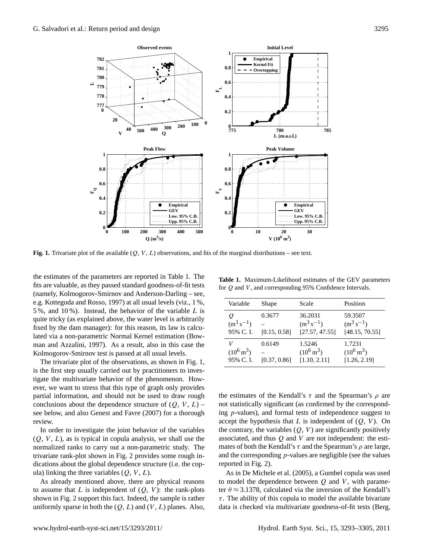

<span id="page-2-0"></span>**Fig. 1.** Trivariate plot of the available  $(Q, V, L)$  observations, and fits of the marginal distributions – see text.

the estimates of the parameters are reported in Table [1.](#page-2-1) The fits are valuable, as they passed standard goodness-of-fit tests (namely, Kolmogorov-Smirnov and Anderson-Darling – see, e.g. [Kottegoda and Rosso,](#page-12-14) [1997\)](#page-12-14) at all usual levels (viz., 1 %, 5 %, and 10 %). Instead, the behavior of the variable L is quite tricky (as explained above, the water level is arbitrarily fixed by the dam manager): for this reason, its law is calculated via a non-parametric Normal Kernel estimation [\(Bow](#page-11-12)[man and Azzalini,](#page-11-12) [1997\)](#page-11-12). As a result, also in this case the Kolmogorov-Smirnov test is passed at all usual levels.

The trivariate plot of the observations, as shown in Fig. [1,](#page-2-0) is the first step usually carried out by practitioners to investigate the multivariate behavior of the phenomenon. However, we want to stress that this type of graph only provides partial information, and should not be used to draw rough conclusions about the dependence structure of  $(Q, V, L)$  – see below, and also [Genest and Favre](#page-11-13) [\(2007\)](#page-11-13) for a thorough review.

In order to investigate the joint behavior of the variables  $(Q, V, L)$ , as is typical in copula analysis, we shall use the normalized ranks to carry out a non-parametric study. The trivariate rank-plot shown in Fig. [2](#page-3-1) provides some rough indications about the global dependence structure (i.e. the copula) linking the three variables  $(Q, V, L)$ .

As already mentioned above, there are physical reasons to assume that L is independent of  $(Q, V)$ : the rank-plots shown in Fig. [2](#page-3-1) support this fact. Indeed, the sample is rather uniformly sparse in both the  $(Q, L)$  and  $(V, L)$  planes. Also,

<span id="page-2-1"></span>**Table 1.** Maximum-Likelihood estimates of the GEV parameters for  $Q$  and  $V$ , and corresponding 95% Confidence Intervals.

| Variable                             | Shape                  | Scale                                             | Position                                          |
|--------------------------------------|------------------------|---------------------------------------------------|---------------------------------------------------|
| Q<br>$\rm (m^3\,s^{-1})$<br>95% C.I. | 0.3677<br>[0.15, 0.58] | 36.2031<br>$(m^3 s^{-1})$<br>[27.57, 47.55]       | 59.3507<br>$(m^3 s^{-1})$<br>[48.15, 70.55]       |
| $(10^6 \,\mathrm{m}^3)$<br>95% C.I.  | 0.6149<br>[0.37, 0.86] | 1.5246<br>$(10^6 \,\mathrm{m}^3)$<br>[1.10, 2.11] | 1.7231<br>$(10^6 \,\mathrm{m}^3)$<br>[1.26, 2.19] |

the estimates of the Kendall's  $\tau$  and the Spearman's  $\rho$  are not statistically significant (as confirmed by the corresponding p-values), and formal tests of independence suggest to accept the hypothesis that  $L$  is independent of  $(Q, V)$ . On the contrary, the variables  $(Q, V)$  are significantly positively associated, and thus  $Q$  and  $V$  are not independent: the estimates of both the Kendall's  $\tau$  and the Spearman's  $\rho$  are large, and the corresponding p-values are negligible (see the values reported in Fig. [2\)](#page-3-1).

As in [De Michele et al.](#page-11-10) [\(2005\)](#page-11-10), a Gumbel copula was used to model the dependence between  $Q$  and  $V$ , with parameter  $\theta \approx 3.1378$ , calculated via the inversion of the Kendall's  $\tau$ . The ability of this copula to model the available bivariate data is checked via multivariate goodness-of-fit tests [\(Berg,](#page-11-14)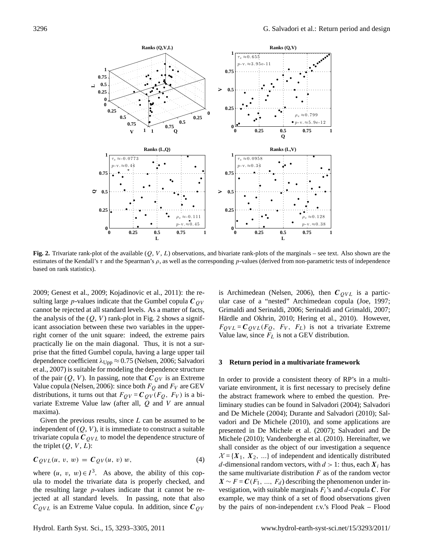

<span id="page-3-1"></span>**Fig. 2.** Trivariate rank-plot of the available (Q, V, L) observations, and bivariate rank-plots of the marginals – see text. Also shown are the estimates of the Kendall's  $\tau$  and the Spearman's  $\rho$ , as well as the corresponding p-values (derived from non-parametric tests of independence based on rank statistics).

[2009;](#page-11-14) [Genest et al.,](#page-12-15) [2009;](#page-12-15) [Kojadinovic et al.,](#page-12-16) [2011\)](#page-12-16): the resulting large *p*-values indicate that the Gumbel copula  $C_{\text{OV}}$ cannot be rejected at all standard levels. As a matter of facts, the analysis of the  $(Q, V)$  rank-plot in Fig. [2](#page-3-1) shows a significant association between these two variables in the upperright corner of the unit square: indeed, the extreme pairs practically lie on the main diagonal. Thus, it is not a surprise that the fitted Gumbel copula, having a large upper tail dependence coefficient  $\lambda_{Upp} \approx 0.75$  [\(Nelsen,](#page-12-5) [2006;](#page-12-5) [Salvadori](#page-12-6) [et al.,](#page-12-6) [2007\)](#page-12-6) is suitable for modeling the dependence structure of the pair  $(Q, V)$ . In passing, note that  $C_{QV}$  is an Extreme Value copula [\(Nelsen,](#page-12-5) [2006\)](#page-12-5): since both  $F_Q$  and  $F_V$  are GEV distributions, it turns out that  $F_{QV} = C_{QV} (F_Q, F_V)$  is a bivariate Extreme Value law (after all,  $Q$  and  $V$  are annual maxima).

Given the previous results, since  $L$  can be assumed to be independent of  $(Q, V)$ , it is immediate to construct a suitable trivariate copula  $C_{QVL}$  to model the dependence structure of the triplet  $(Q, V, L)$ :

$$
C_{QVL}(u, v, w) = C_{QV}(u, v) w,
$$
\n<sup>(4)</sup>

where  $(u, v, w) \in I^3$ . As above, the ability of this copula to model the trivariate data is properly checked, and the resulting large p-values indicate that it cannot be rejected at all standard levels. In passing, note that also  $C_{QVL}$  is an Extreme Value copula. In addition, since  $C_{QV}$ 

is Archimedean [\(Nelsen,](#page-12-5) [2006\)](#page-12-5), then  $C_{QVL}$  is a particular case of a "nested" Archimedean copula [\(Joe,](#page-12-4) [1997;](#page-12-4) [Grimaldi and Serinaldi,](#page-12-17) [2006;](#page-12-17) [Serinaldi and Grimaldi,](#page-12-18) [2007;](#page-12-18) Härdle and Okhrin, [2010;](#page-12-19) [Hering et al.,](#page-12-20) [2010\)](#page-12-20). However,  $F_{QVL} = C_{QVL}(F_Q, F_V, F_L)$  is not a trivariate Extreme Value law, since  $F_L$  is not a GEV distribution.

#### <span id="page-3-0"></span>**3 Return period in a multivariate framework**

In order to provide a consistent theory of RP's in a multivariate environment, it is first necessary to precisely define the abstract framework where to embed the question. Preliminary studies can be found in [Salvadori](#page-12-21) [\(2004\)](#page-12-21); [Salvadori](#page-12-22) [and De Michele](#page-12-22) [\(2004\)](#page-12-22); [Durante and Salvadori](#page-11-15) [\(2010\)](#page-11-15); [Sal](#page-12-23)[vadori and De Michele](#page-12-23) [\(2010\)](#page-12-23), and some applications are presented in [De Michele et al.](#page-11-16) [\(2007\)](#page-11-16); [Salvadori and De](#page-12-23) [Michele](#page-12-23) [\(2010\)](#page-12-23); [Vandenberghe et al.](#page-12-24) [\(2010\)](#page-12-24). Hereinafter, we shall consider as the object of our investigation a sequence  $\mathcal{X} = \{X_1, X_2, \ldots\}$  of independent and identically distributed d-dimensional random vectors, with  $d > 1$ : thus, each  $X_i$  has the same multivariate distribution  $F$  as of the random vector  $X \sim F = C(F_1, ..., F_d)$  describing the phenomenon under investigation, with suitable marginals  $F_i$ 's and d-copula  $C$ . For example, we may think of a set of flood observations given by the pairs of non-independent r.v.'s Flood Peak – Flood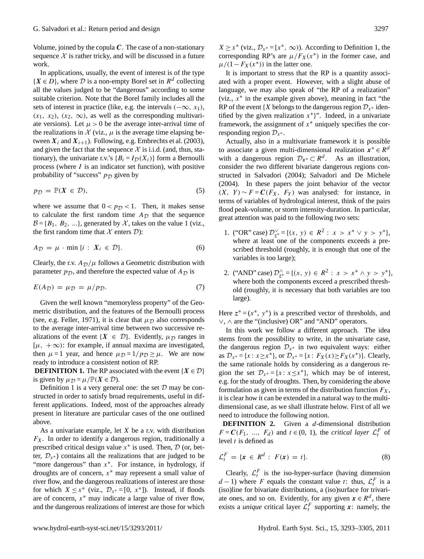Volume, joined by the copula  $C$ . The case of a non-stationary sequence  $X$  is rather tricky, and will be discussed in a future work.

In applications, usually, the event of interest is of the type  $\{X \in D\}$ , where  $D$  is a non-empty Borel set in  $R^d$  collecting all the values judged to be "dangerous" according to some suitable criterion. Note that the Borel family includes all the sets of interest in practice (like, e.g. the intervals  $(-\infty, x_1)$ ,  $(x_1, x_2)$ ,  $(x_2, \infty)$ , as well as the corresponding multivariate versions). Let  $\mu > 0$  be the average inter-arrival time of the realizations in  $\mathcal{X}$  (viz.,  $\mu$  is the average time elapsing between  $X_i$  and  $X_{i+1}$ ). Following, e.g. [Embrechts et al.](#page-11-17) [\(2003\)](#page-11-17), and given the fact that the sequence  $X$  is i.i.d. (and, thus, stationary), the univariate r.v.'s  ${B_i = I_{\mathcal{D}}(X_i)}$  form a Bernoulli process (where  $I$  is an indicator set function), with positive probability of "success"  $p_{\mathcal{D}}$  given by

$$
p_{\mathcal{D}} = \mathbb{P}(X \in \mathcal{D}),\tag{5}
$$

where we assume that  $0 < p<sub>D</sub> < 1$ . Then, it makes sense to calculate the first random time  $A_{\mathcal{D}}$  that the sequence  $\mathcal{B} = \{B_1, B_2, ...\}$ , generated by X, takes on the value 1 (viz., the first random time that  $X$  enters  $D$ ):

$$
A_{\mathcal{D}} = \mu \cdot \min \{ i : X_i \in \mathcal{D} \}. \tag{6}
$$

Clearly, the r.v.  $A_{\mathcal{D}}/\mu$  follows a Geometric distribution with parameter  $p_{\mathcal{D}}$ , and therefore the expected value of  $A_{\mathcal{D}}$  is

$$
E(A_{\mathcal{D}}) = \mu_{\mathcal{D}} = \mu / p_{\mathcal{D}}.
$$
 (7)

Given the well known "memoryless property" of the Geometric distribution, and the features of the Bernoulli process (see, e.g. [Feller,](#page-11-18) [1971\)](#page-11-18), it is clear that  $\mu_{\mathcal{D}}$  also corresponds to the average inter-arrival time between two successive realizations of the event  $\{X \in \mathcal{D}\}\$ . Evidently,  $\mu_{\mathcal{D}}$  ranges in  $[\mu, +\infty)$ : for example, if annual maxima are investigated, then  $\mu = 1$  year, and hence  $\mu_{\mathcal{D}} = 1/p_{\mathcal{D}} \ge \mu$ . We are now ready to introduce a consistent notion of RP.

<span id="page-4-0"></span>**DEFINITION 1.** The RP associated with the event  $\{X \in \mathcal{D}\}\$ is given by  $\mu_{\mathcal{D}} = \mu/\mathbb{P}(X \in \mathcal{D})$ .

Definition [1](#page-4-0) is a very general one: the set  $D$  may be constructed in order to satisfy broad requirements, useful in different applications. Indeed, most of the approaches already present in literature are particular cases of the one outlined above.

As a univariate example, let  $X$  be a r.v. with distribution  $F_X$ . In order to identify a dangerous region, traditionally a prescribed critical design value  $x^*$  is used. Then,  $\mathcal D$  (or, better,  $\mathcal{D}_{x^*}$ ) contains all the realizations that are judged to be "more dangerous" than  $x^*$ . For instance, in hydrology, if droughts are of concern,  $x^*$  may represent a small value of river flow, and the dangerous realizations of interest are those for which  $X \le x^*$  (viz.,  $\mathcal{D}_{x^*} = [0, x^*]$ ). Instead, if floods are of concern,  $x^*$  may indicate a large value of river flow, and the dangerous realizations of interest are those for which  $X \geq x^*$  (viz.,  $\mathcal{D}_{x^*} = [x^*, \infty)$ ). According to Definition [1,](#page-4-0) the corresponding RP's are  $\mu/F_X(x^*)$  in the former case, and  $\mu/(1 - F_X(x^*))$  in the latter one.

It is important to stress that the RP is a quantity associated with a proper event. However, with a slight abuse of language, we may also speak of "the RP of a realization" (viz.,  $x^*$  in the example given above), meaning in fact "the RP of the event {X belongs to the dangerous region  $\mathcal{D}_{x^*}$  identified by the given realization  $x^*$ ". Indeed, in a univariate framework, the assignment of  $x^*$  uniquely specifies the corresponding region  $\mathcal{D}_{x^*}$ .

Actually, also in a multivariate framework it is possible to associate a given multi-dimensional realization  $x^* \in R^d$ with a dangerous region  $\mathcal{D}_{\mathbf{x}^*} \subset \mathbb{R}^d$ . As an illustration, consider the two different bivariate dangerous regions constructed in [Salvadori](#page-12-21) [\(2004\)](#page-12-21); [Salvadori and De Michele](#page-12-22) [\(2004\)](#page-12-22). In these papers the joint behavior of the vector  $(X, Y) \sim F = C(F_X, F_Y)$  was analysed: for instance, in terms of variables of hydrological interest, think of the pairs flood peak-volume, or storm intensity-duration. In particular, great attention was paid to the following two sets:

- 1. ("OR" case)  $\mathcal{D}_{z^*}^{\vee} = \{(x, y) \in R^2 : x > x^* \vee y > y^*\},\$ where at least one of the components exceeds a prescribed threshold (roughly, it is enough that one of the variables is too large);
- 2. ("AND" case)  $\mathcal{D}_{z^*}^{\wedge} = \{(x, y) \in R^2 : x > x^* \wedge y > y^*\},\$ where both the components exceed a prescribed threshold (roughly, it is necessary that both variables are too large).

Here  $z^* = (x^*, y^*)$  is a prescribed vector of thresholds, and ∨, ∧ are the "(inclusive) OR" and "AND" operators.

In this work we follow a different approach. The idea stems from the possibility to write, in the univariate case, the dangerous region  $\mathcal{D}_{x^*}$  in two equivalent ways: either as  $\mathcal{D}_{x^*} = \{x : x \ge x^*\}$ , or  $\mathcal{D}_{x^*} = \{x : F_X(x) \ge F_X(x^*)\}$ . Clearly, the same rationale holds by considering as a dangerous region the set  $\mathcal{D}_{x^*} = \{x : x \leq x^*\}$ , which may be of interest, e.g. for the study of droughts. Then, by considering the above formulation as given in terms of the distribution function  $F_X$ , it is clear how it can be extended in a natural way to the multidimensional case, as we shall illustrate below. First of all we need to introduce the following notion.

**DEFINITION 2.** Given a d-dimensional distribution  $F = C(F_1, ..., F_d)$  and  $t \in (0, 1)$ , the *critical layer*  $\mathcal{L}_t^F$  of level  $t$  is defined as

$$
\mathcal{L}_t^F = \{ \mathbf{x} \in R^d : F(\mathbf{x}) = t \}. \tag{8}
$$

Clearly,  $\mathcal{L}_t^F$  is the iso-hyper-surface (having dimension  $d-1$ ) where F equals the constant value t: thus,  $\mathcal{L}_t^F$  is a (iso)line for bivariate distributions, a (iso)surface for trivariate ones, and so on. Evidently, for any given  $x \in \mathbb{R}^d$ , there exists a *unique* critical layer  $\mathcal{L}_t^F$  supporting x: namely, the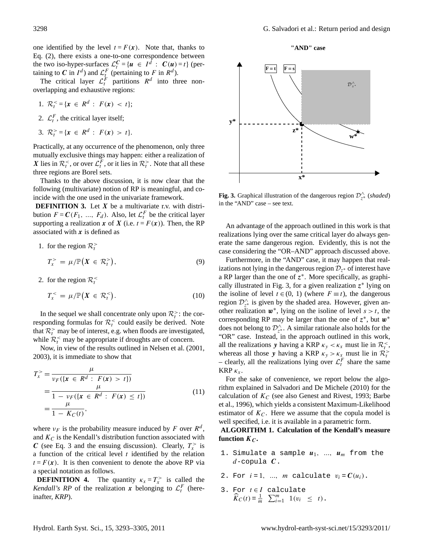one identified by the level  $t = F(x)$ . Note that, thanks to Eq. [\(2\)](#page-0-2), there exists a one-to-one correspondence between the two iso-hyper-surfaces  $\mathcal{L}_t^C = \{ u \in I^d : C(u) = t \}$  (pertaining to C in  $I^d$ ) and  $\mathcal{L}_{\tau}^F$  (pertaining to F in  $R^d$ ).

The critical layer  $\mathcal{L}_t^F$  partitions  $\mathbb{R}^d$  into three nonoverlapping and exhaustive regions:

- 1.  $\mathcal{R}_t^{\lt} = \{ \mathbf{x} \in \mathbb{R}^d : F(\mathbf{x}) < t \};$
- 2.  $\mathcal{L}_t^F$ , the critical layer itself;
- 3.  $\mathcal{R}_t^> = \{ \mathbf{x} \in \mathbb{R}^d : F(\mathbf{x}) > t \}.$

Practically, at any occurrence of the phenomenon, only three mutually exclusive things may happen: either a realization of X lies in  $\mathcal{R}_t^<$ , or over  $\mathcal{L}_t^F$ , or it lies in  $\mathcal{R}_t^>$ . Note that all these three regions are Borel sets.

Thanks to the above discussion, it is now clear that the following (multivariate) notion of RP is meaningful, and coincide with the one used in the univariate framework.

**DEFINITION 3.** Let X be a multivariate r.v. with distribution  $F = C(F_1, ..., F_d)$ . Also, let  $\mathcal{L}_t^F$  be the critical layer supporting a realization x of X (i.e.  $t = F(x)$ ). Then, the RP associated with  $x$  is defined as

1. for the region  $\mathcal{R}_t^>$ 

$$
T_x^> = \mu/\mathbb{P}\big(X \in \mathcal{R}_t^{\geq 0}\big),\tag{9}
$$

2. for the region  $\mathcal{R}_t^{\lt}$ 

$$
T_x^< = \mu/\mathbb{P}\big(X \in \mathcal{R}_t^<\big). \tag{10}
$$

In the sequel we shall concentrate only upon  $\mathcal{R}_t^>$ : the corresponding formulas for  $\mathcal{R}_t^{\le}$  could easily be derived. Note that  $\mathcal{R}_t^>$  may be of interest, e.g. when floods are investigated, while  $\mathcal{R}_t^{\leq}$  may be appropriate if droughts are of concern.

Now, in view of the results outlined in [Nelsen et al.](#page-12-25) [\(2001,](#page-12-25) [2003\)](#page-12-26), it is immediate to show that

$$
T_x^> = \frac{\mu}{\nu_F(\{x \in R^d : F(x) > t\})}
$$
  
= 
$$
\frac{\mu}{1 - \nu_F(\{x \in R^d : F(x) \le t\})}
$$
  
= 
$$
\frac{\mu}{1 - K_C(t)},
$$
 (11)

where  $v_F$  is the probability measure induced by F over  $R^d$ , and  $K_C$  is the Kendall's distribution function associated with C (see Eq. [3](#page-1-0) and the ensuing discussion). Clearly,  $T_x^>$  is a function of the critical level  $t$  identified by the relation  $t = F(x)$ . It is then convenient to denote the above RP via a special notation as follows.

**DEFINITION 4.** The quantity  $\kappa_x = T_x^>$  is called the *Kendall's RP* of the realization x belonging to  $\mathcal{L}_t^F$  (hereinafter, *KRP*).



<span id="page-5-1"></span>**Fig. 3.** Graphical illustration of the dangerous region  $\mathcal{D}_{z^*}^{\wedge}$  (*shaded*) in the "AND" case – see text.

An advantage of the approach outlined in this work is that realizations lying over the same critical layer do always generate the same dangerous region. Evidently, this is not the case considering the "OR–AND" approach discussed above.

Furthermore, in the "AND" case, it may happen that realizations not lying in the dangerous region  $\mathcal{D}_{z^*}$  of interest have a RP larger than the one of  $z^*$ . More specifically, as graphi-cally illustrated in Fig. [3,](#page-5-1) for a given realization  $z^*$  lying on the isoline of level  $t \in (0, 1)$  (where  $F \equiv t$ ), the dangerous region  $\mathcal{D}_{z^*}^{\wedge}$  is given by the shaded area. However, given another realization  $w^*$ , lying on the isoline of level  $s > t$ , the corresponding RP may be larger than the one of  $z^*$ , but  $w^*$ does not belong to  $\mathcal{D}_{z^*}^{\wedge}$ . A similar rationale also holds for the "OR" case. Instead, in the approach outlined in this work, all the realizations y having a KRP  $\kappa_y < \kappa_x$  must lie in  $\mathcal{R}_t^<$ , whereas all those y having a KRP  $\kappa_y > \kappa_x$  must lie in  $\mathcal{R}_t^>$ – clearly, all the realizations lying over  $\mathcal{L}_t^F$  share the same KRP $\kappa_r$ .

<span id="page-5-2"></span>For the sake of convenience, we report below the algorithm explained in [Salvadori and De Michele](#page-12-23) [\(2010\)](#page-12-23) for the calculation of  $K_C$  (see also [Genest and Rivest,](#page-11-7) [1993;](#page-11-7) [Barbe](#page-11-19) [et al.,](#page-11-19) [1996\)](#page-11-19), which yields a consistent Maximum-Likelihood estimator of  $K_C$ . Here we assume that the copula model is well specified, i.e. it is available in a parametric form.

# <span id="page-5-0"></span>**ALGORITHM 1. Calculation of the Kendall's measure function**  $K_C$ .

- 1. Simulate a sample  $u_1$ , ...,  $u_m$  from the  $d$ -copula  $C$ .
- 2. For  $i = 1$ , ..., m calculate  $v_i = C(u_i)$ .
- 3. For  $t \in I$  calculate  $\widehat{K}_C(t) = \frac{1}{m} \sum_{i=1}^m 1(v_i \leq t).$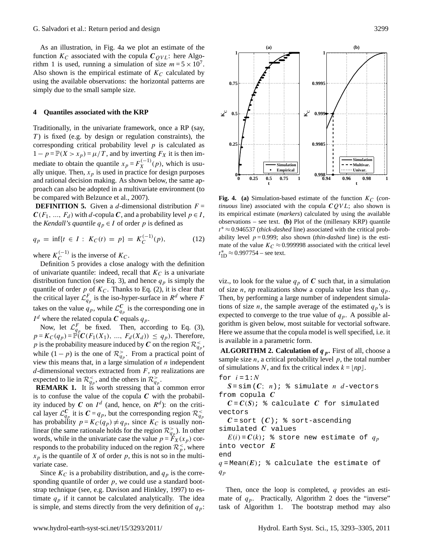As an illustration, in Fig. [4a](#page-6-1) we plot an estimate of the function  $K_C$  associated with the copula  $C_{QVL}$ : here Algo-rithm [1](#page-5-0) is used, running a simulation of size  $m = 5 \times 10^7$ . Also shown is the empirical estimate of  $K_C$  calculated by using the available observations: the horizontal patterns are simply due to the small sample size.

## <span id="page-6-0"></span>**4 Quantiles associated with the KRP**

Traditionally, in the univariate framework, once a RP (say,  $T$ ) is fixed (e.g. by design or regulation constraints), the corresponding critical probability level  $p$  is calculated as  $1 - p = \mathbb{P}(X > x_p) = \mu/T$ , and by inverting  $F_X$  it is then immediate to obtain the quantile  $x_p = F_X^{(-1)}$  $X^{(-1)}(p)$ , which is usually unique. Then,  $x_p$  is used in practice for design purposes and rational decision making. As shown below, the same approach can also be adopted in a multivariate environment (to be compared with [Belzunce et al.,](#page-11-2) [2007\)](#page-11-2).

<span id="page-6-2"></span>**DEFINITION 5.** Given a d-dimensional distribution  $F =$  $C(F_1, ..., F_d)$  with d-copula C, and a probability level  $p \in I$ , the *Kendall's quantile*  $q_p \in I$  of order p is defined as

$$
q_p = \inf\{t \in I : K_C(t) = p\} = K_C^{(-1)}(p), \tag{12}
$$

where  $K_C^{(-1)}$  $C^{(-1)}$  is the inverse of  $K_C$ .

Definition [5](#page-6-2) provides a close analogy with the definition of univariate quantile: indeed, recall that  $K_C$  is a univariate distribution function (see Eq. [3\)](#page-1-0), and hence  $q_p$  is simply the quantile of order p of  $K_C$ . Thanks to Eq. [\(2\)](#page-0-2), it is clear that the critical layer  $\mathcal{L}_{q_p}^F$  is the iso-hyper-surface in  $R^d$  where F takes on the value  $q_p$ , while  $\mathcal{L}_{q_p}^C$  is the corresponding one in  $I^d$  where the related copula C equals  $q_p$ .

Now, let  $\mathcal{L}_{q_p}^F$  be fixed. Then, according to Eq. [\(3\)](#page-1-0),  $p = K_C(q_p) = \mathbb{P}(\mathcal{C}(F_1(X_1), ..., F_d(X_d)) \leq q_p)$ . Therefore, p is the probability measure induced by C on the region  $\mathcal{R}^+_{q_p}$ , while  $(1 - p)$  is the one of  $\mathcal{R}^>_{q_p}$ . From a practical point of view this means that, in a large simulation of  $n$  independent d-dimensional vectors extracted from F, *np* realizations are expected to lie in  $\mathcal{R}_{q_p}^<$ , and the others in  $\mathcal{R}_{q_p}^>$ .

**REMARK 1.** It is worth stressing that a common error is to confuse the value of the copula  $C$  with the probability induced by C on  $I^d$  (and, hence, on  $R^d$ ): on the critical layer  $\mathcal{L}_{q_p}^C$  it is  $C = q_p$ , but the corresponding region  $\mathcal{R}_{q_p}^{\lt}$ has probability  $p = K_C(q_p) \neq q_p$ , since  $K_C$  is usually nonlinear (the same rationale holds for the region  $\mathcal{R}^+_{q_p}$ ). In other words, while in the univariate case the value  $p = \tilde{F}_X(x_p)$  corresponds to the probability induced on the region  $\mathcal{R}_p^{\leq}$ , where  $x_p$  is the quantile of X of order p, this is not so in the multivariate case.

Since  $K_C$  is a probability distribution, and  $q_p$  is the corresponding quantile of order  $p$ , we could use a standard bootstrap technique (see, e.g. [Davison and Hinkley,](#page-11-20) [1997\)](#page-11-20) to estimate  $q_p$  if it cannot be calculated analytically. The idea is simple, and stems directly from the very definition of  $q_p$ :



<span id="page-6-4"></span><span id="page-6-1"></span>Fig. 4. (a) Simulation-based estimate of the function  $K_C$  (*continuous* line) associated with the copula  $\mathcal{C}QVL$ ; also shown is its empirical estimate (*markers*) calculated by using the available observations – see text. **(b)** Plot of the (millenary KRP) quantile t <sup>∗</sup> ≈ 0.946537 (*thick-dashed* line) associated with the critical probability level  $p = 0.999$ ; also shown *(thin-dashed line)* is the estimate of the value  $K_C \approx 0.999998$  associated with the critical level  $t_{1D}^*$  ≈ 0.997754 – see text.

viz., to look for the value  $q_p$  of C such that, in a simulation of size *n*, *np* realizations show a copula value less than  $q_p$ . Then, by performing a large number of independent simulations of size *n*, the sample average of the estimated  $q_p$ 's is expected to converge to the true value of  $q_p$ . A possible algorithm is given below, most suitable for vectorial software. Here we assume that the copula model is well specified, i.e. it is available in a parametric form.

<span id="page-6-3"></span>**ALGORITHM 2. Calculation of**  $q_p$ **. First of all, choose a** sample size  $n$ , a critical probability level  $p$ , the total number of simulations N, and fix the critical index  $k = \lfloor np \rfloor$ .

for  $i = 1:N$ 

end

 $S = \sin(C; n)$ ; % simulate *n d*-vectors from copula  $C$ 

 $C = C(S)$ ; % calculate C for simulated vectors

 $C$  = sort ( $C$ ); % sort-ascending

simulated  $C$  values

 $E(i) = C(k)$ ; % store new estimate of  $q_p$ into vector  $E$ 

 $q = \text{Mean}(E)$ ; % calculate the estimate of  $q_p$ 

Then, once the loop is completed,  $q$  provides an estimate of  $q_p$ . Practically, Algorithm [2](#page-6-3) does the "inverse" task of Algorithm [1.](#page-5-0) The bootstrap method may also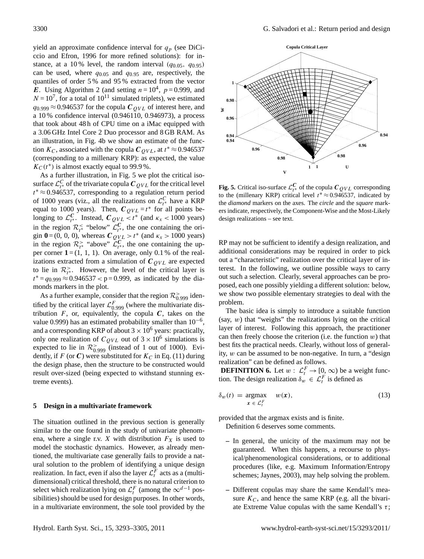yield an approximate confidence interval for  $q_p$  (see [DiCi](#page-11-21)[ccio and Efron,](#page-11-21) [1996](#page-11-21) for more refined solutions): for instance, at a 10% level, the random interval  $(q_{0.05}, q_{0.95})$ can be used, where  $q_{0.05}$  and  $q_{0.95}$  are, respectively, the quantiles of order 5 % and 95 % extracted from the vector E. Using Algorithm [2](#page-6-3) (and setting  $n = 10^4$ ,  $p = 0.999$ , and  $N = 10<sup>7</sup>$ , for a total of  $10<sup>11</sup>$  simulated triplets), we estimated  $q_{0.999} \approx 0.946537$  for the copula  $C_{OVL}$  of interest here, and a 10 % confidence interval (0.946110, 0.946973), a process that took about 48 h of CPU time on a iMac equipped with a 3.06 GHz Intel Core 2 Duo processor and 8 GB RAM. As an illustration, in Fig. [4b](#page-6-1) we show an estimate of the function  $K_C$ , associated with the copula  $C_{QVL}$ , at  $t^* \approx 0.946537$ (corresponding to a millenary KRP): as expected, the value  $K_C(t^*)$  is almost exactly equal to 99.9%.

As a further illustration, in Fig. [5](#page-7-1) we plot the critical isosurface  $\mathcal{L}_{t^*}^C$  of the trivariate copula  $\mathbf{C}_{QVL}$  for the critical level  $t^*$  ≈ 0.946537, corresponding to a regulation return period of 1000 years (viz., all the realizations on  $\mathcal{L}_{t^*}^C$  have a KRP equal to 1000 years). Then,  $C_{QVL} = t^*$  for all points belonging to  $\mathcal{L}_{t^*}^C$ . Instead,  $C_{QVL} \le t^*$  (and  $\kappa_x < 1000$  years) in the region  $\mathcal{R}_{t^*}^{\lt}$  "below"  $\mathcal{L}_{t^*}^{\mathcal{C}}$ , the one containing the origin  $\mathbf{0} = (0, 0, 0)$ , whereas  $\mathbf{C}_{QVL} > t^*$  (and  $\kappa_x > 1000$  years) in the region  $\mathcal{R}_{t^*}^>$  "above"  $\mathcal{L}_{t^*}^C$ , the one containing the upper corner  $\mathbf{1} = (1, 1, 1)$ . On average, only 0.1 % of the realizations extracted from a simulation of  $C_{QVL}$  are expected to lie in  $\mathcal{R}_{t^*}^>$ . However, the level of the critical layer is  $t^* = q_{0.999} \approx 0.946537 < p = 0.999$ , as indicated by the diamonds markers in the plot.

As a further example, consider that the region  $\mathcal{R}_{0.999}^>$  identified by the critical layer  $\mathcal{L}_{0.999}^F$  (where the multivariate distribution  $F$ , or, equivalently, the copula  $C$ , takes on the value 0.999) has an estimated probability smaller than  $10^{-6}$ , and a corresponding KRP of about  $3 \times 10^6$  years: practically, only one realization of  $C_{QVL}$  out of  $3 \times 10^6$  simulations is expected to lie in  $\mathcal{R}_{0.999}^>$  (instead of 1 out of 1000). Evidently, if F (or C) were substituted for  $K_C$  in Eq. [\(11\)](#page-5-2) during the design phase, then the structure to be constructed would result over-sized (being expected to withstand stunning extreme events).

#### <span id="page-7-0"></span>**5 Design in a multivariate framework**

The situation outlined in the previous section is generally similar to the one found in the study of univariate phenomena, where a single r.v. X with distribution  $F_X$  is used to model the stochastic dynamics. However, as already mentioned, the multivariate case generally fails to provide a natural solution to the problem of identifying a unique design realization. In fact, even if also the layer  $\mathcal{L}_t^F$  acts as a (multidimensional) critical threshold, there is no natural criterion to select which realization lying on  $\mathcal{L}_t^F$  (among the  $\infty^{d-1}$  possibilities) should be used for design purposes. In other words, in a multivariate environment, the sole tool provided by the



<span id="page-7-1"></span>**Fig. 5.** Critical iso-surface  $\mathcal{L}_{t^*}^C$  of the copula  $C_{QVL}$  corresponding to the (millenary KRP) critical level  $t^* \approx 0.946537$ , indicated by the *diamond* markers on the axes. The *circle* and the *square* markers indicate, respectively, the Component-Wise and the Most-Likely design realizations – see text.

RP may not be sufficient to identify a design realization, and additional considerations may be required in order to pick out a "characteristic" realization over the critical layer of interest. In the following, we outline possible ways to carry out such a selection. Clearly, several approaches can be proposed, each one possibly yielding a different solution: below, we show two possible elementary strategies to deal with the problem.

The basic idea is simply to introduce a suitable function (say,  $w$ ) that "weighs" the realizations lying on the critical layer of interest. Following this approach, the practitioner can then freely choose the criterion (i.e. the function  $w$ ) that best fits the practical needs. Clearly, without loss of generality, w can be assumed to be non-negative. In turn, a "design realization" can be defined as follows.

<span id="page-7-2"></span>**DEFINITION 6.** Let  $w: \mathcal{L}_t^F \to [0, \infty)$  be a weight function. The design realization  $\delta_w \in \mathcal{L}_t^F$  is defined as

<span id="page-7-3"></span>
$$
\delta_w(t) = \underset{\mathbf{x} \in \mathcal{L}_t^F}{\text{argmax}} \quad w(\mathbf{x}), \tag{13}
$$

provided that the argmax exists and is finite.

Definition [6](#page-7-2) deserves some comments.

- **–** In general, the unicity of the maximum may not be guaranteed. When this happens, a recourse to physical/phenomenological considerations, or to additional procedures (like, e.g. Maximum Information/Entropy schemes; [Jaynes,](#page-12-27) [2003\)](#page-12-27), may help solving the problem.
- **–** Different copulas may share the same Kendall's measure  $K_C$ , and hence the same KRP (e.g. all the bivariate Extreme Value copulas with the same Kendall's  $\tau$ ;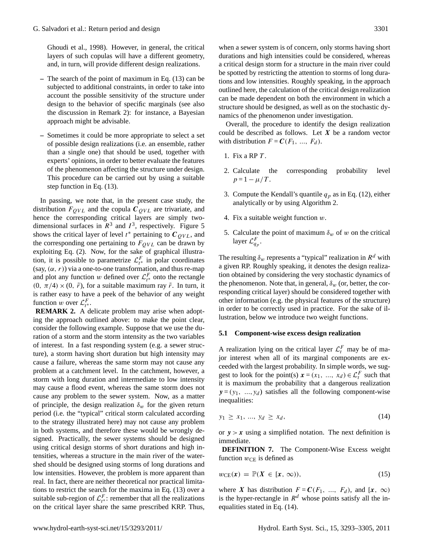[Ghoudi et al.,](#page-12-9) [1998\)](#page-12-9). However, in general, the critical layers of such copulas will have a different geometry, and, in turn, will provide different design realizations.

- **–** The search of the point of maximum in Eq. [\(13\)](#page-7-3) can be subjected to additional constraints, in order to take into account the possible sensitivity of the structure under design to the behavior of specific marginals (see also the discussion in Remark [2\)](#page-8-0): for instance, a Bayesian approach might be advisable.
- **–** Sometimes it could be more appropriate to select a set of possible design realizations (i.e. an ensemble, rather than a single one) that should be used, together with experts' opinions, in order to better evaluate the features of the phenomenon affecting the structure under design. This procedure can be carried out by using a suitable step function in Eq. [\(13\)](#page-7-3).

In passing, we note that, in the present case study, the distribution  $F_{QVL}$  and the copula  $C_{QVL}$  are trivariate, and hence the corresponding critical layers are simply twodimensional surfaces in  $R^3$  and  $I^3$ , respectively. Figure [5](#page-7-1) shows the critical layer of level  $t^*$  pertaining to  $C_{QVL}$ , and the corresponding one pertaining to  $F_{QVL}$  can be drawn by exploiting Eq. [\(2\)](#page-0-2). Now, for the sake of graphical illustration, it is possible to parametrize  $\mathcal{L}_{t^*}^F$  in polar coordinates (say,  $(\alpha, r)$ ) via a one-to-one transformation, and thus re-map and plot any function w defined over  $\mathcal{L}_{t^*}^F$  onto the rectangle  $(0, \pi/4) \times (0, \tilde{r})$ , for a suitable maximum ray  $\tilde{r}$ . In turn, it is rather easy to have a peek of the behavior of any weight function w over  $\mathcal{L}_{t^*}^F$ .

<span id="page-8-0"></span>**REMARK 2.** A delicate problem may arise when adopting the approach outlined above: to make the point clear, consider the following example. Suppose that we use the duration of a storm and the storm intensity as the two variables of interest. In a fast responding system (e.g. a sewer structure), a storm having short duration but high intensity may cause a failure, whereas the same storm may not cause any problem at a catchment level. In the catchment, however, a storm with long duration and intermediate to low intensity may cause a flood event, whereas the same storm does not cause any problem to the sewer system. Now, as a matter of principle, the design realization  $\delta_w$  for the given return period (i.e. the "typical" critical storm calculated according to the strategy illustrated here) may not cause any problem in both systems, and therefore these would be wrongly designed. Practically, the sewer systems should be designed using critical design storms of short durations and high intensities, whereas a structure in the main river of the watershed should be designed using storms of long durations and low intensities. However, the problem is more apparent than real. In fact, there are neither theoretical nor practical limitations to restrict the search for the maxima in Eq. [\(13\)](#page-7-3) over a suitable sub-region of  $\mathcal{L}_{t^*}^F$ : remember that all the realizations on the critical layer share the same prescribed KRP. Thus,

when a sewer system is of concern, only storms having short durations and high intensities could be considered, whereas a critical design storm for a structure in the main river could be spotted by restricting the attention to storms of long durations and low intensities. Roughly speaking, in the approach outlined here, the calculation of the critical design realization can be made dependent on both the environment in which a structure should be designed, as well as on the stochastic dynamics of the phenomenon under investigation.

Overall, the procedure to identify the design realization could be described as follows. Let  $X$  be a random vector with distribution  $F = C(F_1, ..., F_d)$ .

- 1. Fix a RP  $T$ .
- 2. Calculate the corresponding probability level  $p = 1 - \mu/T$ .
- 3. Compute the Kendall's quantile  $q_p$  as in Eq. [\(12\)](#page-6-4), either analytically or by using Algorithm [2.](#page-6-3)
- 4. Fix a suitable weight function  $w$ .
- 5. Calculate the point of maximum  $\delta_w$  of w on the critical layer  $\mathcal{L}_{q_p}^F$ .

The resulting  $\delta_w$  represents a "typical" realization in  $R^d$  with a given RP. Roughly speaking, it denotes the design realization obtained by considering the very stochastic dynamics of the phenomenon. Note that, in general,  $\delta_w$  (or, better, the corresponding critical layer) should be considered together with other information (e.g. the physical features of the structure) in order to be correctly used in practice. For the sake of illustration, below we introduce two weight functions.

### **5.1 Component-wise excess design realization**

A realization lying on the critical layer  $\mathcal{L}_t^F$  may be of major interest when all of its marginal components are exceeded with the largest probability. In simple words, we suggest to look for the point(s)  $\mathbf{x} = (x_1, ..., x_d) \in \mathcal{L}_t^F$  such that it is maximum the probability that a dangerous realization  $y = (y_1, ..., y_d)$  satisfies all the following component-wise inequalities:

<span id="page-8-1"></span>
$$
y_1 \ge x_1, \, ..., \, y_d \ge x_d,\tag{14}
$$

or  $y > x$  using a simplified notation. The next definition is immediate.

**DEFINITION 7.** The Component-Wise Excess weight function  $w_{\text{CE}}$  is defined as

$$
w_{\text{CE}}(\mathbf{x}) = \mathbb{P}(X \in [\mathbf{x}, \infty)), \tag{15}
$$

where X has distribution  $F = C(F_1, ..., F_d)$ , and  $[x, \infty)$ is the hyper-rectangle in  $R<sup>d</sup>$  whose points satisfy all the inequalities stated in Eq. [\(14\)](#page-8-1).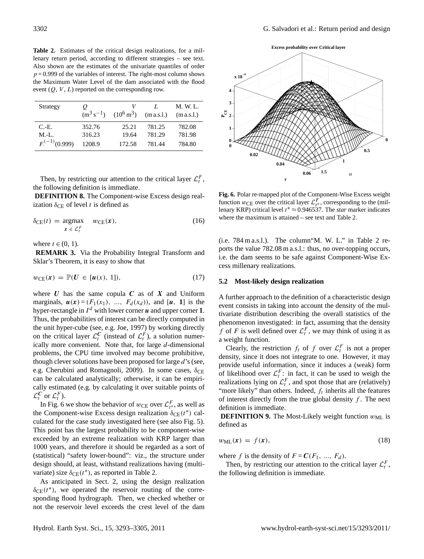<span id="page-9-1"></span>**Table 2.** Estimates of the critical design realizations, for a millenary return period, according to different strategies – see text. Also shown are the estimates of the univariate quantiles of order  $p = 0.999$  of the variables of interest. The right-most column shows the Maximum Water Level of the dam associated with the flood event  $(Q, V, L)$  reported on the corresponding row.

| Strategy          | Q.<br>$(m^3 s^{-1})$ | $(10^6 \,\mathrm{m}^3)$ (m a.s.l.) |        | M. W. L.<br>(m a.s.l.) |
|-------------------|----------------------|------------------------------------|--------|------------------------|
| C.-E.             | 352.76               | 25.21                              | 781.25 | 782.08                 |
| $M.-L.$           | 316.23               | 19.64                              | 781.29 | 781.98                 |
| $F^{(-1)}(0.999)$ | 1208.9               | 172.58                             | 781.44 | 784.80                 |

Then, by restricting our attention to the critical layer  $\mathcal{L}_t^F$ , the following definition is immediate.

**DEFINITION 8.** The Component-wise Excess design realization  $\delta_{\text{CE}}$  of level t is defined as

$$
\delta_{\text{CE}}(t) = \underset{\mathbf{x} \in \mathcal{L}_t^F}{\text{argmax}} \quad w_{\text{CE}}(\mathbf{x}), \tag{16}
$$

where  $t \in (0, 1)$ .

**REMARK 3.** Via the Probability Integral Transform and Sklar's Theorem, it is easy to show that

$$
w_{\mathrm{CE}}(\mathbf{x}) = \mathbb{P}(U \in [\mathbf{u}(x), 1]), \tag{17}
$$

where  $U$  has the same copula  $C$  as of  $X$  and Uniform marginals,  $u(x) = (F_1(x_1), \ldots, F_d(x_d))$ , and  $[u, 1]$  is the hyper-rectangle in  $I^d$  with lower corner  $u$  and upper corner  $1$ . Thus, the probabilities of interest can be directly computed in the unit hyper-cube (see, e.g. [Joe,](#page-12-4) [1997\)](#page-12-4) by working directly on the critical layer  $\mathcal{L}_t^C$  (instead of  $\mathcal{L}_t^F$ ), a solution numerically more convenient. Note that, for large d-dimensional problems, the CPU time involved may become prohibitive, though clever solutions have been proposed for large  $d$ 's (see, e.g. [Cherubini and Romagnoli,](#page-11-22) [2009\)](#page-11-22). In some cases,  $\delta_{\text{CE}}$ can be calculated analytically; otherwise, it can be empirically estimated (e.g. by calculating it over suitable points of  $\mathcal{L}_{t}^{\mathbf{C}}$  or  $\mathcal{L}_{t}^{\mathbf{F}}$ ).

In Fig. [6](#page-9-0) we show the behavior of  $w_{\text{CE}}$  over  $\mathcal{L}_{t^*}^F$ , as well as the Component-wise Excess design realization  $\delta_{CE}(t^*)$  calculated for the case study investigated here (see also Fig. [5\)](#page-7-1). This point has the largest probability to be component-wise exceeded by an extreme realization with KRP larger than 1000 years, and therefore it should be regarded as a sort of (statistical) "safety lower-bound": viz., the structure under design should, at least, withstand realizations having (multivariate) size  $\delta_{CE}(t^*)$ , as reported in Table [2.](#page-9-1)

As anticipated in Sect. [2,](#page-1-1) using the design realization  $\delta_{CE}(t^*)$ , we operated the reservoir routing of the corresponding flood hydrograph. Then, we checked whether or not the reservoir level exceeds the crest level of the dam



<span id="page-9-0"></span>**Fig. 6.** Polar re-mapped plot of the Component-Wise Excess weight function  $w_{\text{CE}}$  over the critical layer  $\mathcal{L}_{t^*}^F$ , corresponding to the (millenary KRP) critical level  $t^* \approx 0.946537$ . The *star* marker indicates where the maximum is attained – see text and Table [2.](#page-9-1)

(i.e. 784 m a.s.l.). The column"M. W. L." in Table [2](#page-9-1) reports the value 782.08 m a.s.l.: thus, no over-topping occurs, i.e. the dam seems to be safe against Component-Wise Excess millenary realizations.

## **5.2 Most-likely design realization**

A further approach to the definition of a characteristic design event consists in taking into account the density of the multivariate distribution describing the overall statistics of the phenomenon investigated: in fact, assuming that the density f of F is well defined over  $\mathcal{L}_t^F$ , we may think of using it as a weight function.

Clearly, the restriction  $f_t$  of f over  $\mathcal{L}_t^F$  is not a proper density, since it does not integrate to one. However, it may provide useful information, since it induces a (weak) form of likelihood over  $\mathcal{L}_{t}^{F}$ : in fact, it can be used to weigh the realizations lying on  $\mathcal{L}_t^F$ , and spot those that are (relatively) "more likely" than others. Indeed,  $f_t$  inherits all the features of interest directly from the true global density  $f$ . The next definition is immediate.

**DEFINITION 9.** The Most-Likely weight function  $w_{ML}$  is defined as

$$
w_{\text{ML}}(\mathbf{x}) = f(\mathbf{x}),\tag{18}
$$

where f is the density of  $F = C(F_1, ..., F_d)$ .

Then, by restricting our attention to the critical layer  $\mathcal{L}_t^F$ , the following definition is immediate.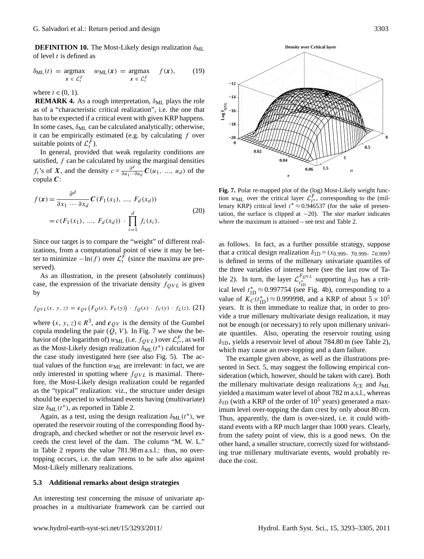**DEFINITION 10.** The Most-Likely design realization  $\delta_{ML}$ of level  $t$  is defined as

$$
\delta_{\text{ML}}(t) = \underset{\mathbf{x} \in \mathcal{L}_t^F}{\text{argmax}} \quad w_{\text{ML}}(\mathbf{x}) = \underset{\mathbf{x} \in \mathcal{L}_t^F}{\text{argmax}} \quad f(\mathbf{x}), \tag{19}
$$

where  $t \in (0, 1)$ .

**REMARK 4.** As a rough interpretation,  $\delta_{ML}$  plays the role as of a "characteristic critical realization", i.e. the one that has to be expected if a critical event with given KRP happens. In some cases,  $\delta_{ML}$  can be calculated analytically; otherwise, it can be empirically estimated (e.g. by calculating  $f$  over suitable points of  $\mathcal{L}_t^F$ ).

In general, provided that weak regularity conditions are satisfied,  $f$  can be calculated by using the marginal densities  $f_i$ 's of X, and the density  $c = \frac{\partial^d}{\partial u_1 \cdots}$  $\frac{\partial^{\alpha}}{\partial u_1 \cdots \partial u_d} C(u_1, ..., u_d)$  of the copula C:

$$
f(\mathbf{x}) = \frac{\partial^d}{\partial x_1 \cdots \partial x_d} \mathbf{C} (F_1(x_1), \dots, F_d(x_d))
$$
  
=  $c(F_1(x_1), \dots, F_d(x_d)) \cdot \prod_{i=1}^d f_i(x_i).$  (20)

Since our target is to compare the "weight" of different realizations, from a computational point of view it may be better to minimize  $-\ln(f)$  over  $\mathcal{L}_t^F$  (since the maxima are preserved).

As an illustration, in the present (absolutely continuos) case, the expression of the trivariate density  $f_{QVL}$  is given by

$$
f_{QVL}(x, y, z) = c_{QV}(F_Q(x), F_V(y)) \cdot f_Q(x) \cdot f_V(y) \cdot f_L(z), (21)
$$

where  $(x, y, z) \in \mathbb{R}^3$ , and  $c_{QV}$  is the density of the Gumbel copula modeling the pair  $(Q, V)$ . In Fig. [7](#page-10-0) we show the behavior of (the logarithm of)  $w_{ML}$  (i.e.  $f_{QVL}$ ) over  $\mathcal{L}_{t^*}^F$ , as well as the Most-Likely design realization  $\delta_{ML}(t^*)$  calculated for the case study investigated here (see also Fig. [5\)](#page-7-1). The actual values of the function  $w_{ML}$  are irrelevant: in fact, we are only interested in spotting where  $f_{OVL}$  is maximal. Therefore, the Most-Likely design realization could be regarded as the "typical" realization: viz., the structure under design should be expected to withstand events having (multivariate) size  $\delta_{ML}(t^*)$ , as reported in Table [2.](#page-9-1)

Again, as a test, using the design realization  $\delta_{ML}(t^*)$ , we operated the reservoir routing of the corresponding flood hydrograph, and checked whether or not the reservoir level exceeds the crest level of the dam. The column "M. W. L." in Table [2](#page-9-1) reports the value 781.98 m a.s.l.: thus, no overtopping occurs, i.e. the dam seems to be safe also against Most-Likely millenary realizations.

## **5.3 Additional remarks about design strategies**

An interesting test concerning the misuse of univariate approaches in a multivariate framework can be carried out



<span id="page-10-0"></span>**Fig. 7.** Polar re-mapped plot of the (log) Most-Likely weight function  $w_{ML}$  over the critical layer  $\mathcal{L}_{t^*}^F$ , corresponding to the (millenary KRP) critical level  $t^* \approx 0.946537$  (for the sake of presentation, the surface is clipped at −20). The *star* marker indicates where the maximum is attained – see text and Table [2.](#page-9-1)

as follows. In fact, as a further possible strategy, suppose that a critical design realization  $\delta_{1D} = (x_{0.999}, y_{0.999}, z_{0.999})$ is defined in terms of the millenary univariate quantiles of the three variables of interest here (see the last row of Ta-ble [2\)](#page-9-1). In turn, the layer  $\mathcal{L}_{i*}^{FQVL}$  $t_{\text{1D}}^{PQVL}$  supporting  $\delta_{1D}$  has a critical level  $t_{1D}^* \approx 0.997754$  (see Fig. [4b](#page-6-1)), corresponding to a value of  $K_C(t_{1D}^*) \approx 0.999998$ , and a KRP of about  $5 \times 10^5$ years. It is then immediate to realize that, in order to provide a true millenary multivariate design realization, it may not be enough (or necessary) to rely upon millenary univariate quantiles. Also, operating the reservoir routing using  $\delta_{1D}$ , yields a reservoir level of about 784.80 m (see Table [2\)](#page-9-1), which may cause an over-topping and a dam failure.

The example given above, as well as the illustrations presented in Sect. [5,](#page-7-0) may suggest the following empirical consideration (which, however, should be taken with care). Both the millenary multivariate design realizations  $\delta_{\text{CE}}$  and  $\delta_{\text{ML}}$ yielded a maximum water level of about 782 m a.s.l., whereas  $\delta_{1D}$  (with a KRP of the order of  $10^5$  years) generated a maximum level over-topping the dam crest by only about 80 cm. Thus, apparently, the dam is over-sized, i.e. it could withstand events with a RP much larger than 1000 years. Clearly, from the safety point of view, this is a good news. On the other hand, a smaller structure, correctly sized for withstanding true millenary multivariate events, would probably reduce the cost.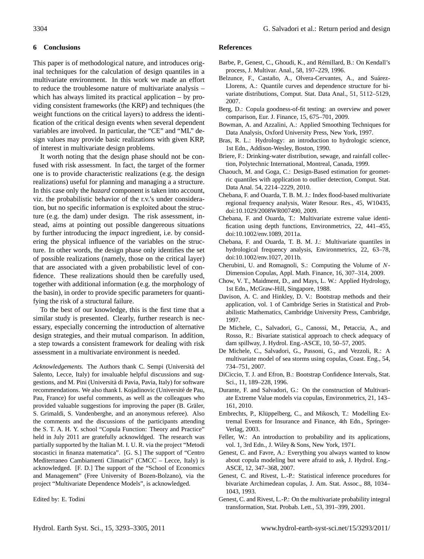## <span id="page-11-9"></span>**6 Conclusions**

This paper is of methodological nature, and introduces original techniques for the calculation of design quantiles in a multivariate environment. In this work we made an effort to reduce the troublesome nature of multivariate analysis – which has always limited its practical application – by providing consistent frameworks (the KRP) and techniques (the weight functions on the critical layers) to address the identification of the critical design events when several dependent variables are involved. In particular, the "CE" and "ML" design values may provide basic realizations with given KRP, of interest in multivariate design problems.

It worth noting that the design phase should not be confused with risk assessment. In fact, the target of the former one is to provide characteristic realizations (e.g. the design realizations) useful for planning and managing a a structure. In this case only the *hazard* component is taken into account, viz. the probabilistic behavior of the r.v.'s under consideration, but no specific information is exploited about the structure (e.g. the dam) under design. The risk assessment, instead, aims at pointing out possible dangereous situations by further introducing the *impact* ingredient, i.e. by considering the physical influence of the variables on the structure. In other words, the design phase only identifies the set of possible realizations (namely, those on the critical layer) that are associated with a given probabilistic level of confidence. These realizations should then be carefully used, together with additional information (e.g. the morphology of the basin), in order to provide specific parameters for quantifying the risk of a structural failure.

To the best of our knowledge, this is the first time that a similar study is presented. Clearly, further research is necessary, especially concerning the introduction of alternative design strategies, and their mutual comparison. In addition, a step towards a consistent framework for dealing with risk assessment in a multivariate environment is needed.

*Acknowledgements.* The Authors thank C. Sempi (Universita del ` Salento, Lecce, Italy) for invaluable helpful discussions and suggestions, and M. Pini (Universita di Pavia, Pavia, Italy) for software ` recommendations. We also thank I. Kojadinovic (Université de Pau, Pau, France) for useful comments, as well as the colleagues who provided valuable suggestions for improving the paper (B. Gräler, S. Grimaldi, S. Vandenberghe, and an anonymous referee). Also the comments and the discussions of the participants attending the S. T. A. H. Y. school "Copula Function: Theory and Practice" held in July 2011 are gratefully acknowldged. The research was partially supported by the Italian M. I. U. R. via the project "Metodi stocastici in finanza matematica". [G. S.] The support of "Centro Mediterraneo Cambiamenti Climatici" (CMCC – Lecce, Italy) is acknowledged. [F. D.] The support of the "School of Economics and Management" (Free University of Bozen-Bolzano), via the project "Multivariate Dependence Models", is acknowledged.

Edited by: E. Todini

## **References**

- <span id="page-11-19"></span>Barbe, P., Genest, C., Ghoudi, K., and Remillard, B.: On Kendall's ´ process, J. Multivar. Anal., 58, 197–229, 1996.
- <span id="page-11-2"></span>Belzunce, F., Castaño, A., Olvera-Cervantes, A., and Suárez-Llorens, A.: Quantile curves and dependence structure for bivariate distributions, Comput. Stat. Data Anal., 51, 5112–5129, 2007.
- <span id="page-11-14"></span>Berg, D.: Copula goodness-of-fit testing: an overview and power comparison, Eur. J. Finance, 15, 675–701, 2009.
- <span id="page-11-12"></span>Bowman, A. and Azzalini, A.: Applied Smoothing Techniques for Data Analysis, Oxford University Press, New York, 1997.
- <span id="page-11-11"></span>Bras, R. L.: Hydrology: an introduction to hydrologic science, 1st Edn., Addison-Wesley, Boston, 1990.
- <span id="page-11-0"></span>Briere, F.: Drinking-water distribution, sewage, and rainfall collection, Polytechnic International, Montreal, Canada, 1999.
- <span id="page-11-5"></span>Chaouch, M. and Goga, C.: Design-Based estimation for geometric quantiles with application to outlier detection, Comput. Stat. Data Anal. 54, 2214–2229, 2010.
- <span id="page-11-3"></span>Chebana, F. and Ouarda, T. B. M. J.: Index flood-based multivariate regional frequency analysis, Water Resour. Res., 45, W10435, [doi:10.1029/2008WR007490,](http://dx.doi.org/10.1029/2008WR007490) 2009.
- <span id="page-11-6"></span>Chebana, F. and Ouarda, T.: Multivariate extreme value identification using depth functions, Environmetrics, 22, 441–455, [doi:10.1002/env.1089,](http://dx.doi.org/10.1002/env.1089) 2011a.
- <span id="page-11-4"></span>Chebana, F. and Ouarda, T. B. M. J.: Multivariate quantiles in hydrological frequency analysis, Environmetrics, 22, 63–78, [doi:10.1002/env.1027,](http://dx.doi.org/10.1002/env.1027) 2011b.
- <span id="page-11-22"></span>Cherubini, U. and Romagnoli, S.: Computing the Volume of N-Dimension Copulas, Appl. Math. Finance, 16, 307–314, 2009.
- <span id="page-11-1"></span>Chow, V. T., Maidment, D., and Mays, L. W.: Applied Hydrology, 1st Edn., McGraw-Hill, Singapore, 1988.
- <span id="page-11-20"></span>Davison, A. C. and Hinkley, D. V.: Bootstrap methods and their application, vol. 1 of Cambridge Series in Statistical and Probabilistic Mathematics, Cambridge University Press, Cambridge, 1997.
- <span id="page-11-10"></span>De Michele, C., Salvadori, G., Canossi, M., Petaccia, A., and Rosso, R.: Bivariate statistical approach to check adequacy of dam spillway, J. Hydrol. Eng.-ASCE, 10, 50–57, 2005.
- <span id="page-11-16"></span>De Michele, C., Salvadori, G., Passoni, G., and Vezzoli, R.: A multivariate model of sea storms using copulas, Coast. Eng., 54, 734–751, 2007.
- <span id="page-11-21"></span>DiCiccio, T. J. and Efron, B.: Bootstrap Confidence Intervals, Stat. Sci., 11, 189–228, 1996.
- <span id="page-11-15"></span>Durante, F. and Salvadori, G.: On the construction of Multivariate Extreme Value models via copulas, Environmetrics, 21, 143– 161, 2010.
- <span id="page-11-17"></span>Embrechts, P., Klüppelberg, C., and Mikosch, T.: Modelling Extremal Events for Insurance and Finance, 4th Edn., Springer-Verlag, 2003.
- <span id="page-11-18"></span>Feller, W.: An introduction to probability and its applications, vol. 1, 3rd Edn., J. Wiley & Sons, New York, 1971.
- <span id="page-11-13"></span>Genest, C. and Favre, A.: Everything you always wanted to know about copula modeling but were afraid to ask, J. Hydrol. Eng.- ASCE, 12, 347–368, 2007.
- <span id="page-11-7"></span>Genest, C. and Rivest, L.-P.: Statistical inference procedures for bivariate Archimedean copulas, J. Am. Stat. Assoc., 88, 1034– 1043, 1993.
- <span id="page-11-8"></span>Genest, C. and Rivest, L.-P.: On the multivariate probability integral transformation, Stat. Probab. Lett., 53, 391–399, 2001.